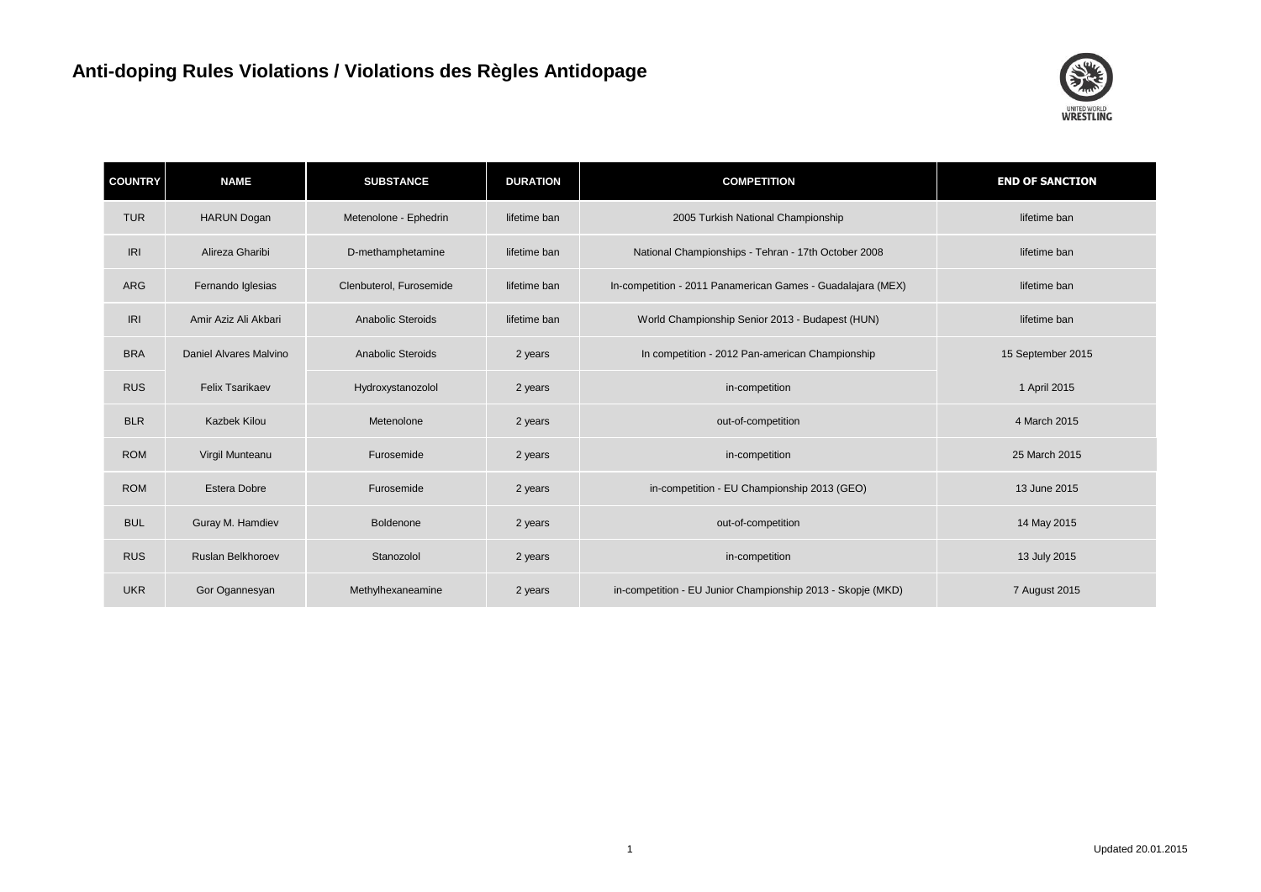

| <b>COUNTRY</b> | <b>NAME</b>            | <b>SUBSTANCE</b>        | <b>DURATION</b> | <b>COMPETITION</b>                                          | <b>END OF SANCTION</b> |
|----------------|------------------------|-------------------------|-----------------|-------------------------------------------------------------|------------------------|
| <b>TUR</b>     | <b>HARUN Dogan</b>     | Metenolone - Ephedrin   | lifetime ban    | 2005 Turkish National Championship                          | lifetime ban           |
| <b>IRI</b>     | Alireza Gharibi        | D-methamphetamine       | lifetime ban    | National Championships - Tehran - 17th October 2008         | lifetime ban           |
| <b>ARG</b>     | Fernando Iglesias      | Clenbuterol, Furosemide | lifetime ban    | In-competition - 2011 Panamerican Games - Guadalajara (MEX) | lifetime ban           |
| IRI            | Amir Aziz Ali Akbari   | Anabolic Steroids       | lifetime ban    | World Championship Senior 2013 - Budapest (HUN)             | lifetime ban           |
| <b>BRA</b>     | Daniel Alvares Malvino | Anabolic Steroids       | 2 years         | In competition - 2012 Pan-american Championship             | 15 September 2015      |
| <b>RUS</b>     | <b>Felix Tsarikaev</b> | Hydroxystanozolol       | 2 years         | in-competition                                              | 1 April 2015           |
| <b>BLR</b>     | <b>Kazbek Kilou</b>    | Metenolone              | 2 years         | out-of-competition                                          | 4 March 2015           |
| <b>ROM</b>     | Virgil Munteanu        | Furosemide              | 2 years         | in-competition                                              | 25 March 2015          |
| <b>ROM</b>     | <b>Estera Dobre</b>    | Furosemide              | 2 years         | in-competition - EU Championship 2013 (GEO)                 | 13 June 2015           |
| <b>BUL</b>     | Guray M. Hamdiev       | Boldenone               | 2 years         | out-of-competition                                          | 14 May 2015            |
| <b>RUS</b>     | Ruslan Belkhoroev      | Stanozolol              | 2 years         | in-competition                                              | 13 July 2015           |
| <b>UKR</b>     | Gor Ogannesyan         | Methylhexaneamine       | 2 years         | in-competition - EU Junior Championship 2013 - Skopje (MKD) | 7 August 2015          |